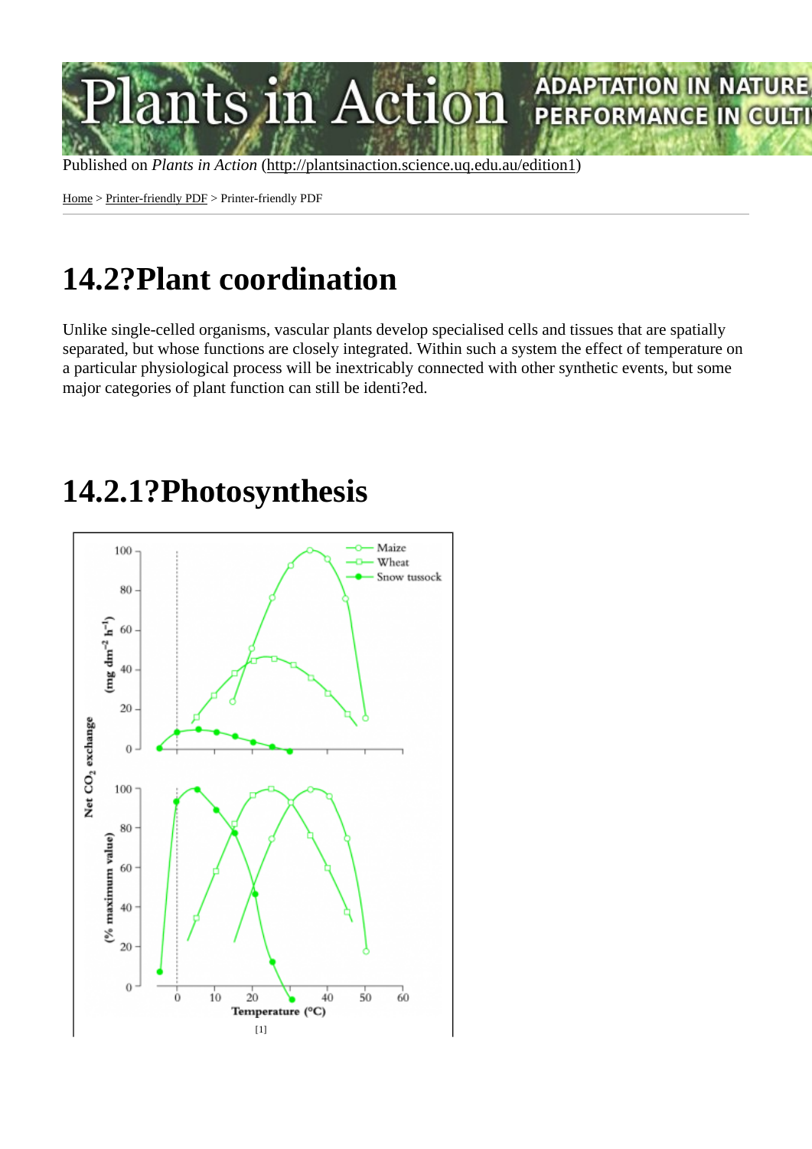Home > Printer-friendly PDF > Printer-friendly PDF

# [14](http://plantsinaction.science.uq.edu.au/edition1)[.2?Plan](http://plantsinaction.science.uq.edu.au/edition1/?q=printpdf)t coordination

Unlike single-celled organisms, vascular plants develop specialised cells and tissues that are spatially separated, but whose functions are closely integrated. Within such a system the effect of temperature on a particular physiological process will be inextricably connected with other synthetic events, but some major categories of plant function can still be identi?ed.

#### 14.2.1?Photosynthesis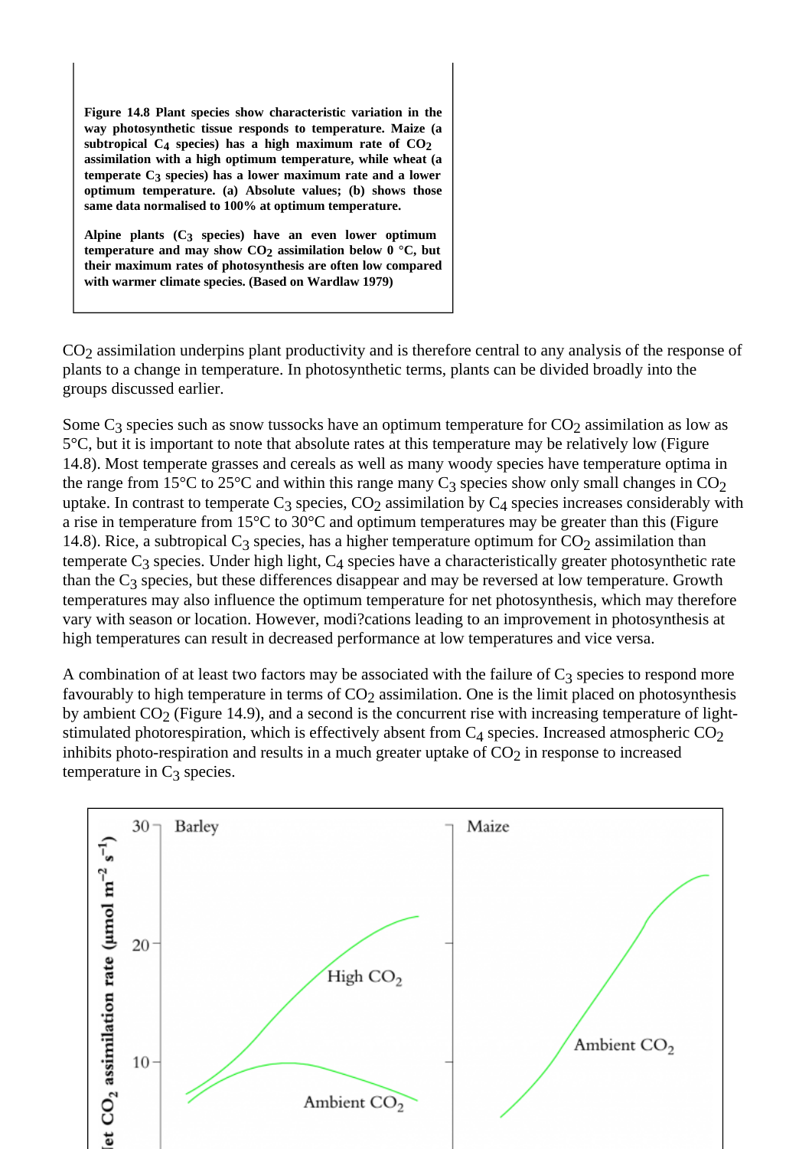Figure 14.8 Plant species show characteristic variation in the way photosynthetic tissue responds to temperature. Maize ( $\phi$ subtropical  $C_4$  species) has a high maximum rate of  $C_6$ assimilation with a high optimum temperature, while wheat (a temperate  $C_3$  species) has a lower maximum rate and a lower optimum temperature. (a) Absolute values; (b) shows those same data normalised to 100% at optimum temperature.

Alpine plants  $(C_3$  species) have an even lower optimum temperature and may show CO assimilation below  $0^{\circ}$ C, but their maximum rates of photosynthesis are often low compared with warmer climate species. (Based on Wardlaw 1979)

CO<sub>2</sub> assimilation underpins plant productivity and is therefore central to any analysis of the response of plants to a change in temperature. In photosynthetic terms, plants can be divided broadly into the groups discussed earlier.

Some G species such as snow tussocks have an optimum temperature for O 2 as low as 5°C, but it is important to note that absolute rates at this temperature may be relatively low (Figure 14.8). Most temperate grasses and cereals as well as many woody species have temperature optima in the range from 15°C to 25°C and within this range many  $\alpha$  show only small changes in  $\mathcal{L}O$ uptake. In contrast to temperate Species, CO assimilation by G species increases considerably with a rise in temperature from 15°C to 30°C and optimum temperatures may be greater than this (Figure 14.8). Rice, a subtropical Cspecies, has a higher temperature optimum for assimilation than temperate Cspecies. Under high light, Concies have a characteristically greater photosynthetic rate than the G species, but these differences disappear and may be reversed at low temperature. Growth temperatures may also influence the optimum temperature for net photosynthesis, which may therefore vary with season or location. However, modi?cations leading to an improvement in photosynthesis at high temperatures can result in decreased performance at low temperatures and vice versa.

A combination of at least two factors may be associated with the failure spation to respond more favourably to high temperature in terms of Cassimilation. One is the limit placed on photosynthesis by ambient CQ (Figure 14.9), and a second is the concurrent rise with increasing temperature of lightstimulated photorespiration, which is effectively absent from C 4 species. Increased atmospheric CO inhibits photo-respiration and results in a much greater uptake pfrO@sponse to increased temperature in C<sub>species</sub>.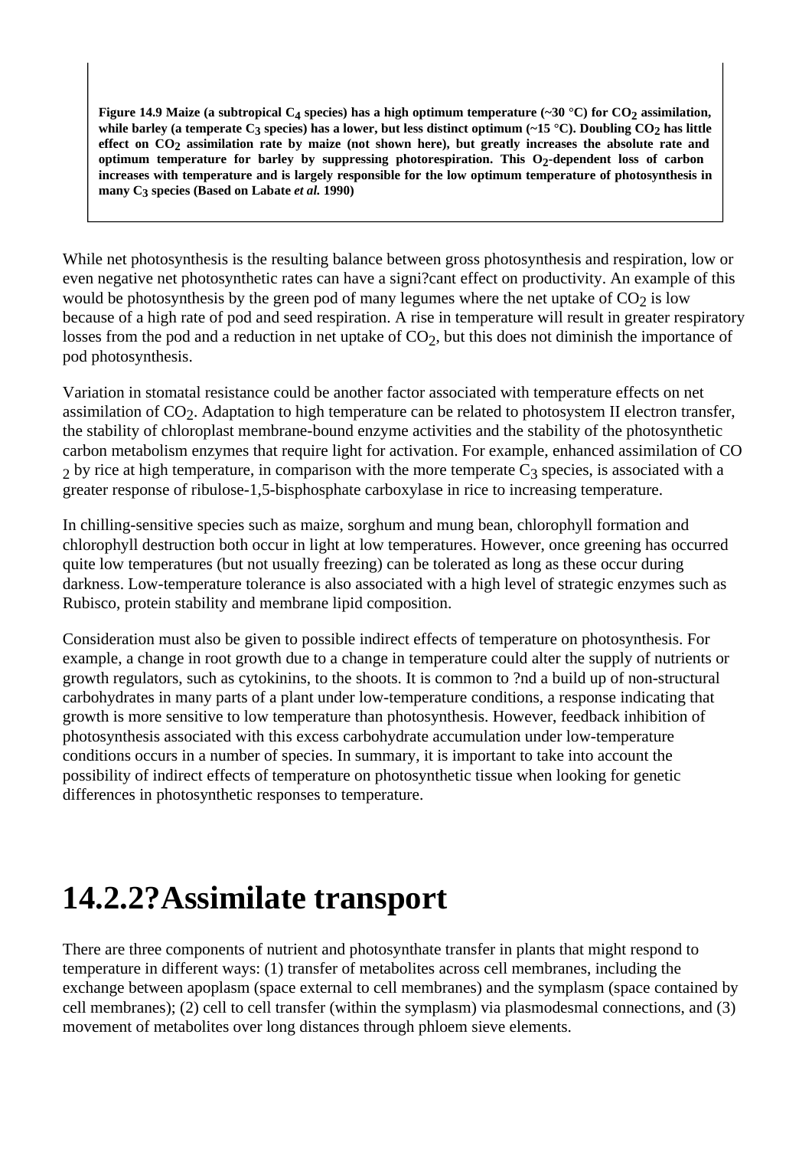**Figure 14.9 Maize (a subtropical C4 species) has a high optimum temperature (~30 °C) for CO2 assimilation, while barley (a temperate C3 species) has a lower, but less distinct optimum (~15 °C). Doubling CO2 has little effect on CO2 assimilation rate by maize (not shown here), but greatly increases the absolute rate and optimum temperature for barley by suppressing photorespiration. This O2-dependent loss of carbon increases with temperature and is largely responsible for the low optimum temperature of photosynthesis in many C3 species (Based on Labate** *et al.* **1990)**

While net photosynthesis is the resulting balance between gross photosynthesis and respiration, low or even negative net photosynthetic rates can have a signi?cant effect on productivity. An example of this would be photosynthesis by the green pod of many legumes where the net uptake of  $CO<sub>2</sub>$  is low because of a high rate of pod and seed respiration. A rise in temperature will result in greater respiratory losses from the pod and a reduction in net uptake of  $CO<sub>2</sub>$ , but this does not diminish the importance of pod photosynthesis.

Variation in stomatal resistance could be another factor associated with temperature effects on net assimilation of  $CO<sub>2</sub>$ . Adaptation to high temperature can be related to photosystem II electron transfer, the stability of chloroplast membrane-bound enzyme activities and the stability of the photosynthetic carbon metabolism enzymes that require light for activation. For example, enhanced assimilation of CO  $2$  by rice at high temperature, in comparison with the more temperate  $C_3$  species, is associated with a greater response of ribulose-1,5-bisphosphate carboxylase in rice to increasing temperature.

In chilling-sensitive species such as maize, sorghum and mung bean, chlorophyll formation and chlorophyll destruction both occur in light at low temperatures. However, once greening has occurred quite low temperatures (but not usually freezing) can be tolerated as long as these occur during darkness. Low-temperature tolerance is also associated with a high level of strategic enzymes such as Rubisco, protein stability and membrane lipid composition.

Consideration must also be given to possible indirect effects of temperature on photosynthesis. For example, a change in root growth due to a change in temperature could alter the supply of nutrients or growth regulators, such as cytokinins, to the shoots. It is common to ?nd a build up of non-structural carbohydrates in many parts of a plant under low-temperature conditions, a response indicating that growth is more sensitive to low temperature than photosynthesis. However, feedback inhibition of photosynthesis associated with this excess carbohydrate accumulation under low-temperature conditions occurs in a number of species. In summary, it is important to take into account the possibility of indirect effects of temperature on photosynthetic tissue when looking for genetic differences in photosynthetic responses to temperature.

### **14.2.2?Assimilate transport**

There are three components of nutrient and photosynthate transfer in plants that might respond to temperature in different ways: (1) transfer of metabolites across cell membranes, including the exchange between apoplasm (space external to cell membranes) and the symplasm (space contained by cell membranes); (2) cell to cell transfer (within the symplasm) via plasmodesmal connections, and (3) movement of metabolites over long distances through phloem sieve elements.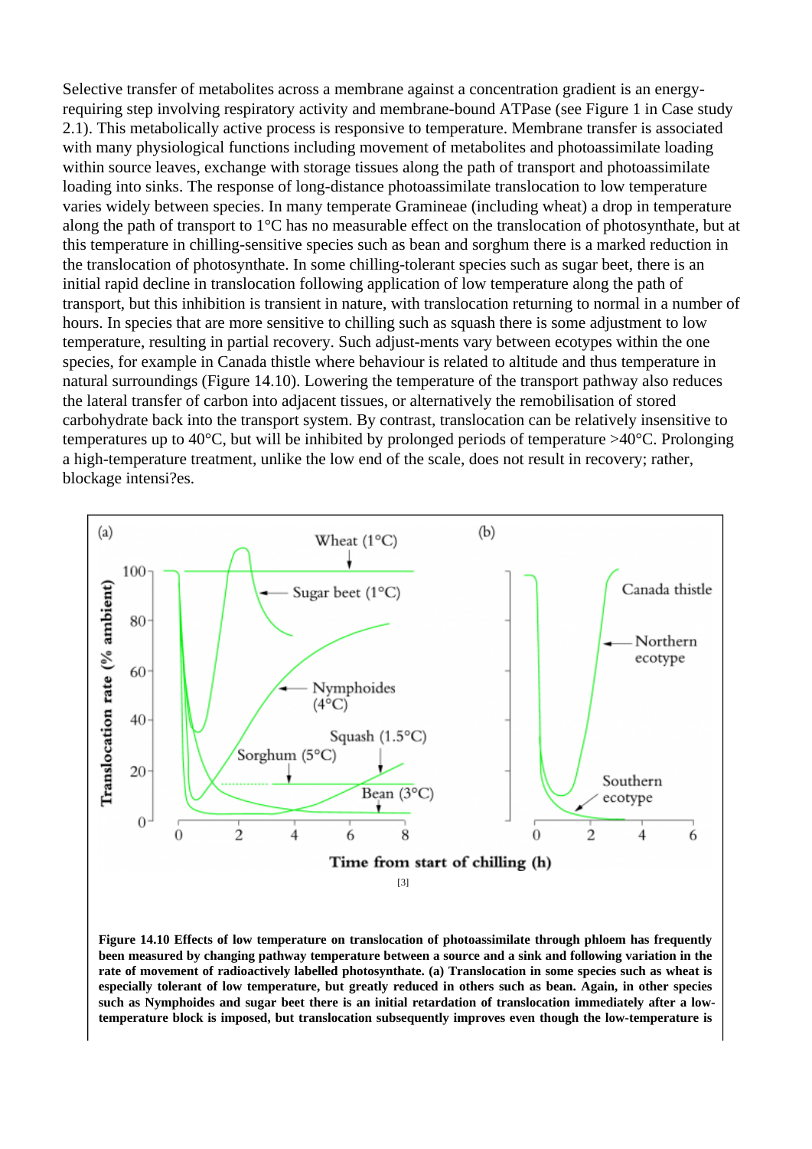Selective transfer of metabolites across a membrane against a concentration gradient is an energyrequiring step involving respiratory activity and membrane-bound ATPase (see Figure 1 in Case study 2.1). This metabolically active process is responsive to temperature. Membrane transfer is associated with many physiological functions including movement of metabolites and photoassimilate loading within source leaves, exchange with storage tissues along the path of transport and photoassimilate loading into sinks. The response of long-distance photoassimilate translocation to low temperature varies widely between species. In many temperate Gramineae (including wheat) a drop in temperature along the path of transport to 1°C has no measurable effect on the translocation of photosynthate, but at this temperature in chilling-sensitive species such as bean and sorghum there is a marked reduction in the translocation of photosynthate. In some chilling-tolerant species such as sugar beet, there is an initial rapid decline in translocation following application of low temperature along the path of transport, but this inhibition is transient in nature, with translocation returning to normal in a number of hours. In species that are more sensitive to chilling such as squash there is some adjustment to low temperature, resulting in partial recovery. Such adjust-ments vary between ecotypes within the one species, for example in Canada thistle where behaviour is related to altitude and thus temperature in natural surroundings (Figure 14.10). Lowering the temperature of the transport pathway also reduces the lateral transfer of carbon into adjacent tissues, or alternatively the remobilisation of stored carbohydrate back into the transport system. By contrast, translocation can be relatively insensitive to temperatures up to 40°C, but will be inhibited by prolonged periods of temperature >40°C. Prolonging a high-temperature treatment, unlike the low end of the scale, does not result in recovery; rather, blockage intensi?es.

[3]

[Figure 14.10 Effects of low temperature on translocation of photoassimilate through phloem has frequen](http://plantsinaction.science.uq.edu.au/edition1//?q=figure_view/700)tly been measured by changing pathway temperature between a source and a sink and following variation in the rate of movement of radioactively labelled photosynthate. (a) Translocation in some species such as wheat is especially tolerant of low temperature, but greatly reduced in others such as bean. Again, in other species such as Nymphoides and sugar beet there is an initial retardation of translocation immediately after a lowtemperature block is imposed, but translocation subsequently improves even though the low-temperature is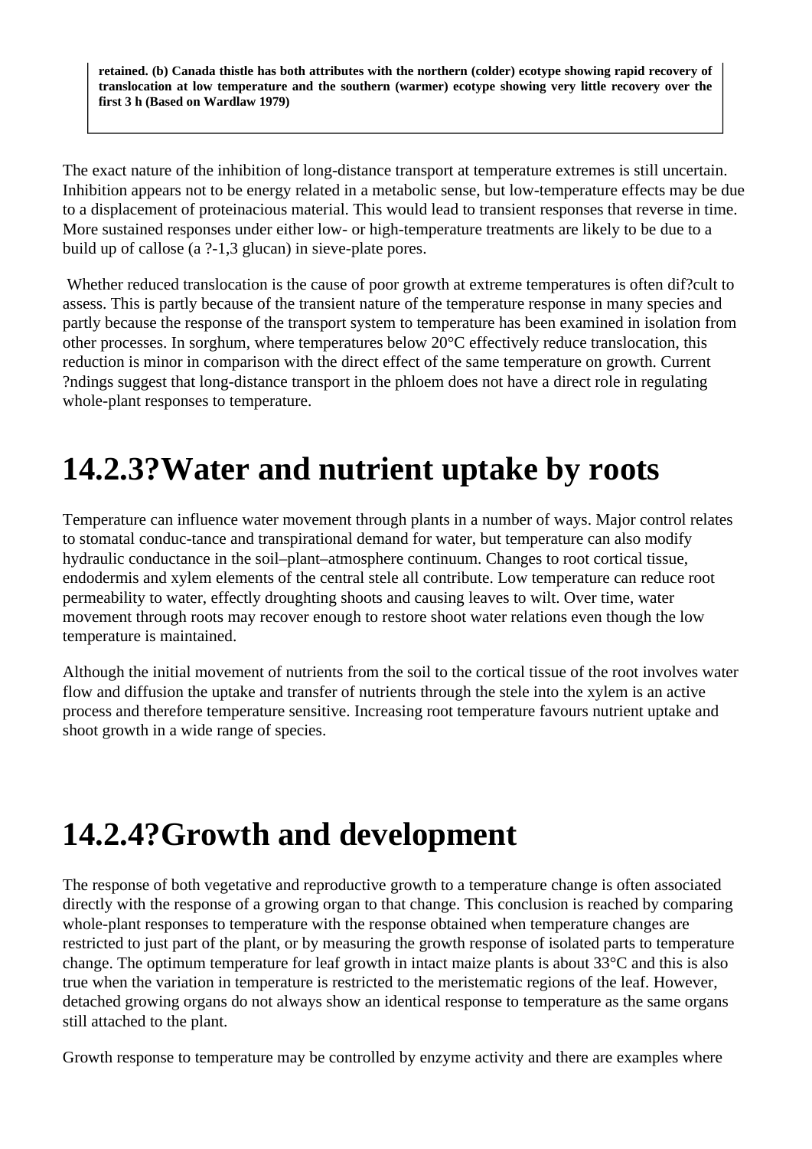**retained. (b) Canada thistle has both attributes with the northern (colder) ecotype showing rapid recovery of translocation at low temperature and the southern (warmer) ecotype showing very little recovery over the first 3 h (Based on Wardlaw 1979)**

The exact nature of the inhibition of long-distance transport at temperature extremes is still uncertain. Inhibition appears not to be energy related in a metabolic sense, but low-temperature effects may be due to a displacement of proteinacious material. This would lead to transient responses that reverse in time. More sustained responses under either low- or high-temperature treatments are likely to be due to a build up of callose (a ?-1,3 glucan) in sieve-plate pores.

 Whether reduced translocation is the cause of poor growth at extreme temperatures is often dif?cult to assess. This is partly because of the transient nature of the temperature response in many species and partly because the response of the transport system to temperature has been examined in isolation from other processes. In sorghum, where temperatures below 20°C effectively reduce translocation, this reduction is minor in comparison with the direct effect of the same temperature on growth. Current ?ndings suggest that long-distance transport in the phloem does not have a direct role in regulating whole-plant responses to temperature.

## **14.2.3?Water and nutrient uptake by roots**

Temperature can influence water movement through plants in a number of ways. Major control relates to stomatal conduc-tance and transpirational demand for water, but temperature can also modify hydraulic conductance in the soil–plant–atmosphere continuum. Changes to root cortical tissue, endodermis and xylem elements of the central stele all contribute. Low temperature can reduce root permeability to water, effectly droughting shoots and causing leaves to wilt. Over time, water movement through roots may recover enough to restore shoot water relations even though the low temperature is maintained.

Although the initial movement of nutrients from the soil to the cortical tissue of the root involves water flow and diffusion the uptake and transfer of nutrients through the stele into the xylem is an active process and therefore temperature sensitive. Increasing root temperature favours nutrient uptake and shoot growth in a wide range of species.

## **14.2.4?Growth and development**

The response of both vegetative and reproductive growth to a temperature change is often associated directly with the response of a growing organ to that change. This conclusion is reached by comparing whole-plant responses to temperature with the response obtained when temperature changes are restricted to just part of the plant, or by measuring the growth response of isolated parts to temperature change. The optimum temperature for leaf growth in intact maize plants is about 33°C and this is also true when the variation in temperature is restricted to the meristematic regions of the leaf. However, detached growing organs do not always show an identical response to temperature as the same organs still attached to the plant.

Growth response to temperature may be controlled by enzyme activity and there are examples where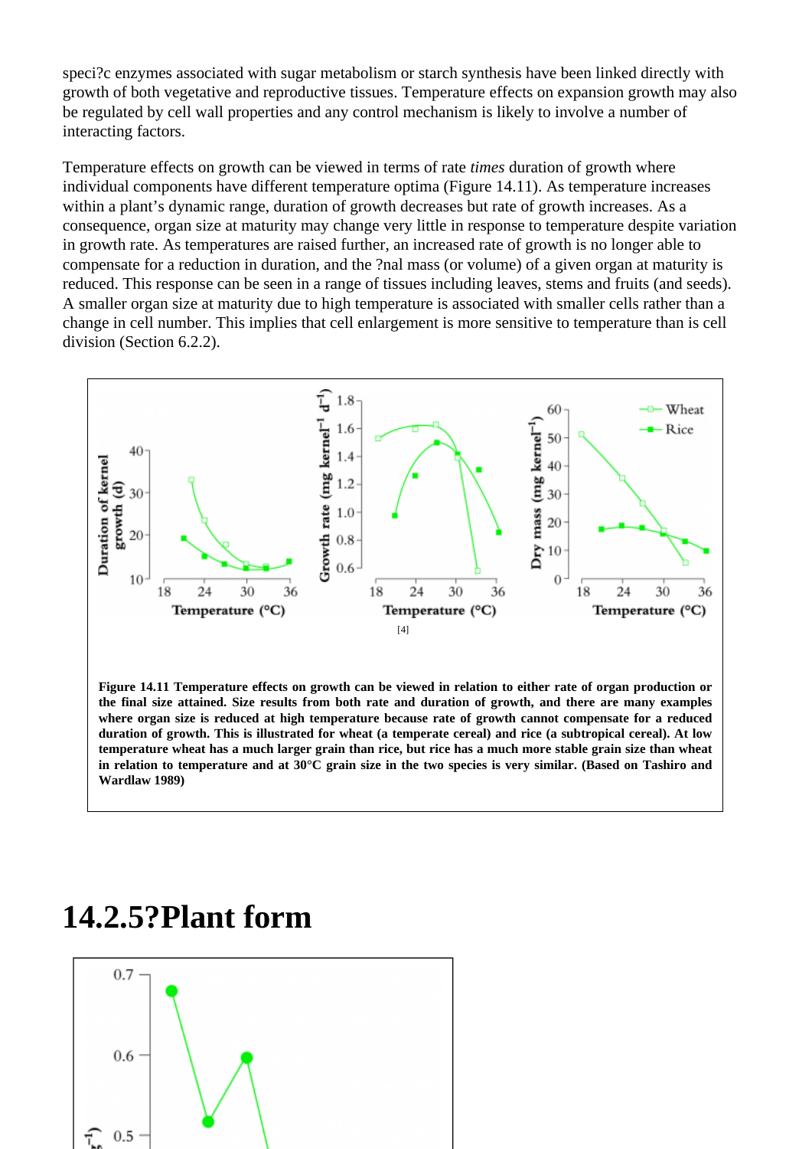speci?c enzymes associated with sugar metabolism or starch synthesis have been linked directly with growth of both vegetative and reproductive tissues. Temperature effects on expansion growth may also be regulated by cell wall properties and any control mechanism is likely to involve a number of interacting factors.

Temperature effects on growth can be viewed in terms of *inates* duration of growth where individual components have different temperature optima (Figure 14.11). As temperature increases within a plant's dynamic range, duration of growth decreases but rate of growth increases. As a consequence, organ size at maturity may change very little in response to temperature despite variation in growth rate. As temperatures are raised further, an increased rate of growth is no longer able to compensate for a reduction in duration, and the ?nal mass (or volume) of a given organ at maturity is reduced. This response can be seen in a range of tissues including leaves, stems and fruits (and seeds). A smaller organ size at maturity due to high temperature is associated with smaller cells rather than a change in cell number. This implies that cell enlargement is more sensitive to temperature than is cell division (Section 6.2.2).

[4]

[Figure 14.11 Temperature effects on growth can be viewed in relation to either rate of organ production](http://plantsinaction.science.uq.edu.au/edition1//?q=figure_view/705) or the final size attained. Size results from both rate and duration of growth, and there are many examples where organ size is reduced at high temperature because rate of growth cannot compensate for a reduced duration of growth. This is illustrated for wheat (a temperate cereal) and rice (a subtropical cereal). At low temperature wheat has a much larger grain than rice, but rice has a much more stable grain size than wheat in relation to temperature and at 30°C grain size in the two species is very similar. (Based on Tashiro and Wardlaw 1989)

#### 14.2.5?Plant form